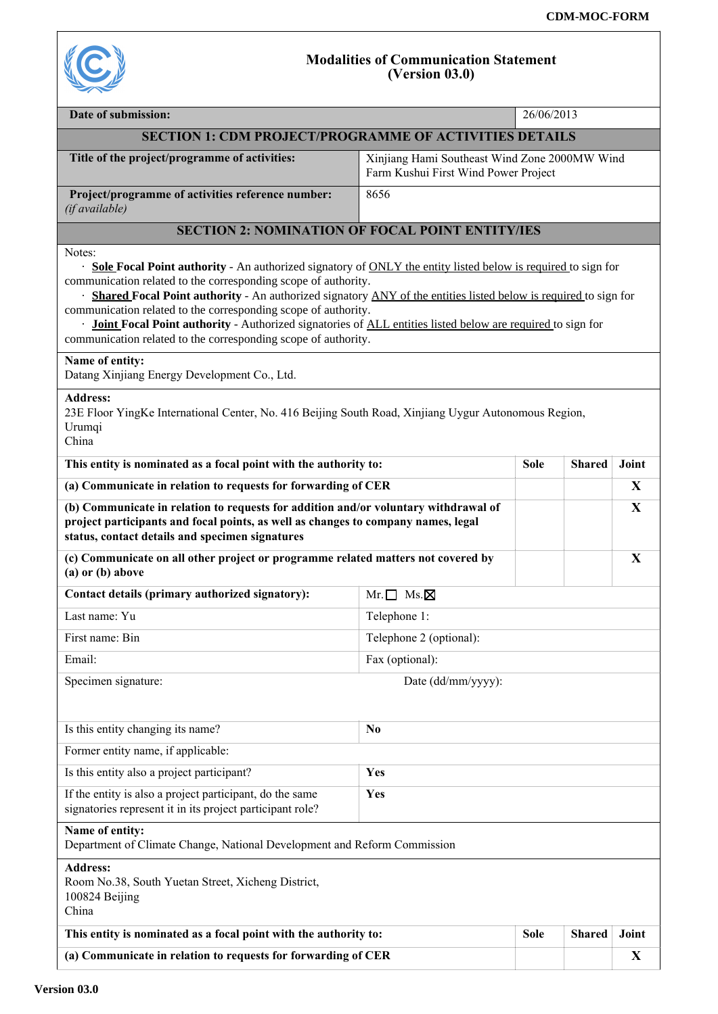

## **Modalities of Communication Statement (Version 03.0)**

| Date of submission:                                                                                                                                                                                                                                                                                                                                                                                                                                                                                                                                                                |                                                                                       | 26/06/2013  |               |       |  |
|------------------------------------------------------------------------------------------------------------------------------------------------------------------------------------------------------------------------------------------------------------------------------------------------------------------------------------------------------------------------------------------------------------------------------------------------------------------------------------------------------------------------------------------------------------------------------------|---------------------------------------------------------------------------------------|-------------|---------------|-------|--|
| <b>SECTION 1: CDM PROJECT/PROGRAMME OF ACTIVITIES DETAILS</b>                                                                                                                                                                                                                                                                                                                                                                                                                                                                                                                      |                                                                                       |             |               |       |  |
| Title of the project/programme of activities:                                                                                                                                                                                                                                                                                                                                                                                                                                                                                                                                      | Xinjiang Hami Southeast Wind Zone 2000MW Wind<br>Farm Kushui First Wind Power Project |             |               |       |  |
| Project/programme of activities reference number:<br>(if available)                                                                                                                                                                                                                                                                                                                                                                                                                                                                                                                | 8656                                                                                  |             |               |       |  |
| <b>SECTION 2: NOMINATION OF FOCAL POINT ENTITY/IES</b>                                                                                                                                                                                                                                                                                                                                                                                                                                                                                                                             |                                                                                       |             |               |       |  |
| Notes:<br><b>Sole Focal Point authority</b> - An authorized signatory of <b>ONLY</b> the entity listed below is required to sign for<br>communication related to the corresponding scope of authority.<br>Shared Focal Point authority - An authorized signatory ANY of the entities listed below is required to sign for<br>communication related to the corresponding scope of authority.<br><b>Joint Focal Point authority</b> - Authorized signatories of ALL entities listed below are required to sign for<br>communication related to the corresponding scope of authority. |                                                                                       |             |               |       |  |
| Name of entity:<br>Datang Xinjiang Energy Development Co., Ltd.                                                                                                                                                                                                                                                                                                                                                                                                                                                                                                                    |                                                                                       |             |               |       |  |
| <b>Address:</b><br>23E Floor YingKe International Center, No. 416 Beijing South Road, Xinjiang Uygur Autonomous Region,<br>Urumqi<br>China                                                                                                                                                                                                                                                                                                                                                                                                                                         |                                                                                       |             |               |       |  |
| This entity is nominated as a focal point with the authority to:                                                                                                                                                                                                                                                                                                                                                                                                                                                                                                                   |                                                                                       | <b>Sole</b> | <b>Shared</b> | Joint |  |
| (a) Communicate in relation to requests for forwarding of CER                                                                                                                                                                                                                                                                                                                                                                                                                                                                                                                      |                                                                                       |             |               | X     |  |
| (b) Communicate in relation to requests for addition and/or voluntary withdrawal of<br>project participants and focal points, as well as changes to company names, legal<br>status, contact details and specimen signatures                                                                                                                                                                                                                                                                                                                                                        |                                                                                       |             |               | X     |  |
| (c) Communicate on all other project or programme related matters not covered by<br>$(a)$ or $(b)$ above                                                                                                                                                                                                                                                                                                                                                                                                                                                                           |                                                                                       |             |               | X     |  |
| Contact details (primary authorized signatory):                                                                                                                                                                                                                                                                                                                                                                                                                                                                                                                                    | $Mr.\Box$ Ms. $\boxtimes$                                                             |             |               |       |  |
| Last name: Yu                                                                                                                                                                                                                                                                                                                                                                                                                                                                                                                                                                      | Telephone 1:                                                                          |             |               |       |  |
| First name: Bin                                                                                                                                                                                                                                                                                                                                                                                                                                                                                                                                                                    | Telephone 2 (optional):                                                               |             |               |       |  |
| Email:                                                                                                                                                                                                                                                                                                                                                                                                                                                                                                                                                                             | Fax (optional):                                                                       |             |               |       |  |
| Date (dd/mm/yyyy):<br>Specimen signature:                                                                                                                                                                                                                                                                                                                                                                                                                                                                                                                                          |                                                                                       |             |               |       |  |
| Is this entity changing its name?                                                                                                                                                                                                                                                                                                                                                                                                                                                                                                                                                  | N <sub>0</sub>                                                                        |             |               |       |  |
| Former entity name, if applicable:                                                                                                                                                                                                                                                                                                                                                                                                                                                                                                                                                 |                                                                                       |             |               |       |  |
| Is this entity also a project participant?                                                                                                                                                                                                                                                                                                                                                                                                                                                                                                                                         | Yes                                                                                   |             |               |       |  |
| If the entity is also a project participant, do the same<br>signatories represent it in its project participant role?                                                                                                                                                                                                                                                                                                                                                                                                                                                              | Yes                                                                                   |             |               |       |  |
| Name of entity:<br>Department of Climate Change, National Development and Reform Commission                                                                                                                                                                                                                                                                                                                                                                                                                                                                                        |                                                                                       |             |               |       |  |
| <b>Address:</b><br>Room No.38, South Yuetan Street, Xicheng District,<br>100824 Beijing<br>China                                                                                                                                                                                                                                                                                                                                                                                                                                                                                   |                                                                                       |             |               |       |  |
| This entity is nominated as a focal point with the authority to:                                                                                                                                                                                                                                                                                                                                                                                                                                                                                                                   |                                                                                       | <b>Sole</b> | <b>Shared</b> | Joint |  |
| (a) Communicate in relation to requests for forwarding of CER                                                                                                                                                                                                                                                                                                                                                                                                                                                                                                                      |                                                                                       |             |               | X     |  |